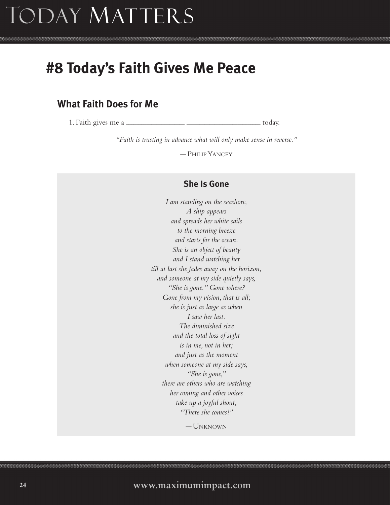## Today Matters

## **#8 Today's Faith Gives Me Peace**

## **What Faith Does for Me**

1. Faith gives me a **influence** in the interval of the state of today.

*"Faith is trusting in advance what will only make sense in reverse."*

— PHILIP YANCEY

## **She Is Gone**

*I am standing on the seashore, A ship appears and spreads her white sails to the morning breeze and starts for the ocean. She is an object of beauty and I stand watching her till at last she fades away on the horizon, and someone at my side quietly says, "She is gone." Gone where? Gone from my vision, that is all; she is just as large as when I saw her last. The diminished size and the total loss of sight is in me, not in her; and just as the moment when someone at my side says, "She is gone," there are others who are watching her coming and other voices take up a joyful shout, "There she comes!"*

— UNKNOWN